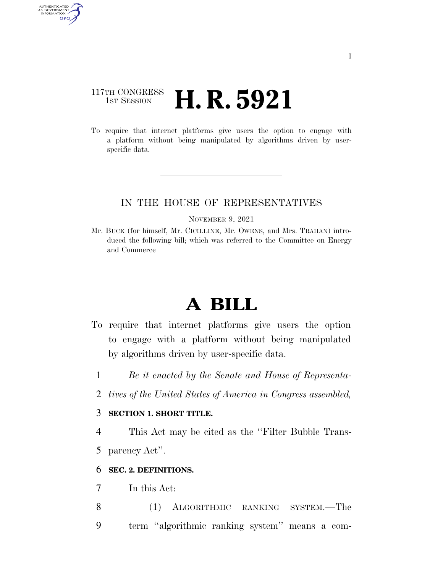## 117TH CONGRESS **1st Session H. R. 5921**

AUTHENTICATED<br>U.S. GOVERNMENT<br>INFORMATION GPO

> To require that internet platforms give users the option to engage with a platform without being manipulated by algorithms driven by userspecific data.

### IN THE HOUSE OF REPRESENTATIVES

#### NOVEMBER 9, 2021

Mr. BUCK (for himself, Mr. CICILLINE, Mr. OWENS, and Mrs. TRAHAN) introduced the following bill; which was referred to the Committee on Energy and Commerce

# **A BILL**

- To require that internet platforms give users the option to engage with a platform without being manipulated by algorithms driven by user-specific data.
	- 1 *Be it enacted by the Senate and House of Representa-*
	- 2 *tives of the United States of America in Congress assembled,*

### 3 **SECTION 1. SHORT TITLE.**

4 This Act may be cited as the ''Filter Bubble Trans-5 parency Act''.

### 6 **SEC. 2. DEFINITIONS.**

7 In this Act:

8 (1) ALGORITHMIC RANKING SYSTEM.—The 9 term ''algorithmic ranking system'' means a com-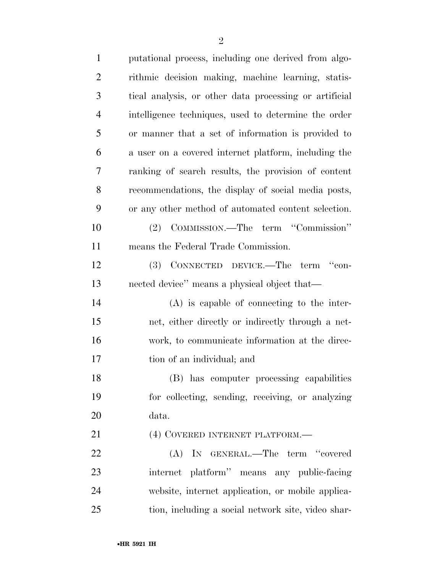| $\mathbf{1}$   | putational process, including one derived from algo-   |
|----------------|--------------------------------------------------------|
| $\overline{2}$ | rithmic decision making, machine learning, statis-     |
| 3              | tical analysis, or other data processing or artificial |
| $\overline{4}$ | intelligence techniques, used to determine the order   |
| 5              | or manner that a set of information is provided to     |
| 6              | a user on a covered internet platform, including the   |
| 7              | ranking of search results, the provision of content    |
| 8              | recommendations, the display of social media posts,    |
| 9              | or any other method of automated content selection.    |
| 10             | (2) COMMISSION.—The term "Commission"                  |
| 11             | means the Federal Trade Commission.                    |
| 12             | (3) CONNECTED DEVICE.—The term "con-                   |
| 13             | nected device" means a physical object that—           |
| 14             | $(A)$ is capable of connecting to the inter-           |
| 15             | net, either directly or indirectly through a net-      |
| 16             | work, to communicate information at the direc-         |
| 17             | tion of an individual; and                             |
| 18             | (B) has computer processing capabilities               |
| 19             | for collecting, sending, receiving, or analyzing       |
| 20             | data.                                                  |
| 21             | (4) COVERED INTERNET PLATFORM.-                        |
| 22             | (A) IN GENERAL.—The term "covered                      |
| 23             | internet platform" means any public-facing             |
| 24             | website, internet application, or mobile applica-      |
| 25             | tion, including a social network site, video shar-     |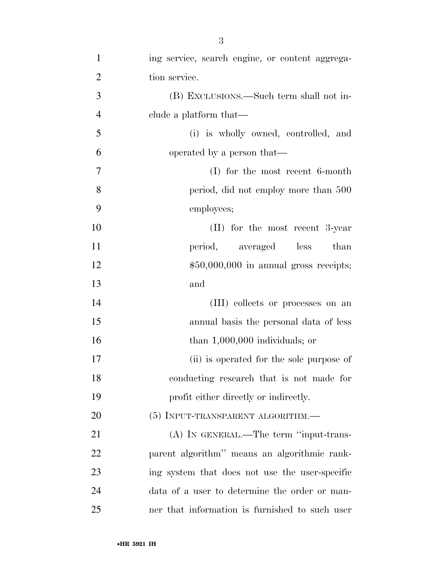| $\mathbf{1}$   | ing service, search engine, or content aggrega- |
|----------------|-------------------------------------------------|
| $\overline{2}$ | tion service.                                   |
| 3              | (B) EXCLUSIONS.—Such term shall not in-         |
| $\overline{4}$ | clude a platform that—                          |
| 5              | (i) is wholly owned, controlled, and            |
| 6              | operated by a person that—                      |
| 7              | $(I)$ for the most recent 6-month               |
| 8              | period, did not employ more than 500            |
| 9              | employees;                                      |
| 10             | $(II)$ for the most recent 3-year               |
| 11             | period, averaged<br>less<br>than                |
| 12             | $$50,000,000$ in annual gross receipts;         |
| 13             | and                                             |
| 14             | (III) collects or processes on an               |
| 15             | annual basis the personal data of less          |
| 16             | than $1,000,000$ individuals; or                |
| 17             | (ii) is operated for the sole purpose of        |
| 18             | conducting research that is not made for        |
| 19             | profit either directly or indirectly.           |
| 20             | (5) INPUT-TRANSPARENT ALGORITHM.—               |
| 21             | (A) IN GENERAL.—The term "input-trans-          |
| 22             | parent algorithm" means an algorithmic rank-    |
| 23             | ing system that does not use the user-specific  |
| 24             | data of a user to determine the order or man-   |
| 25             | ner that information is furnished to such user  |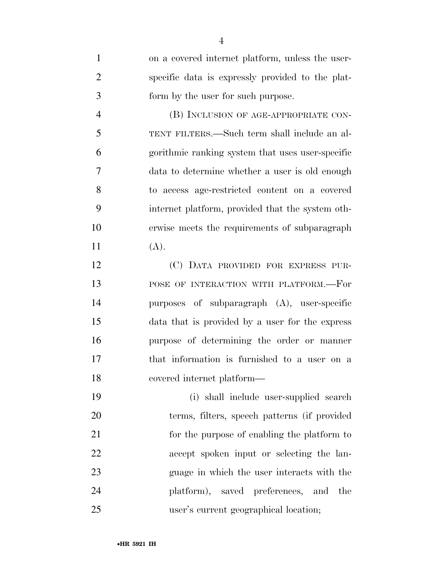| $\mathbf{1}$   | on a covered internet platform, unless the user- |
|----------------|--------------------------------------------------|
| $\overline{2}$ | specific data is expressly provided to the plat- |
| 3              | form by the user for such purpose.               |
| $\overline{4}$ | (B) INCLUSION OF AGE-APPROPRIATE CON-            |
| 5              | TENT FILTERS.—Such term shall include an al-     |
| 6              | gorithmic ranking system that uses user-specific |
| $\overline{7}$ | data to determine whether a user is old enough   |
| 8              | to access age-restricted content on a covered    |
| 9              | internet platform, provided that the system oth- |
| 10             | erwise meets the requirements of subparagraph    |
| 11             | (A).                                             |
| 12             | (C) DATA PROVIDED FOR EXPRESS PUR-               |
| 13             | POSE OF INTERACTION WITH PLATFORM.—For           |
| 14             | purposes of subparagraph $(A)$ , user-specific   |
| 15             | data that is provided by a user for the express  |
| 16             | purpose of determining the order or manner       |
| 17             | that information is furnished to a user on a     |
| 18             | covered internet platform—                       |
| 19             | (i) shall include user-supplied search           |
| 20             | terms, filters, speech patterns (if provided     |
| 21             | for the purpose of enabling the platform to      |
| 22             | accept spoken input or selecting the lan-        |
| 23             | guage in which the user interacts with the       |
| 24             | platform), saved preferences, and<br>the         |
| 25             | user's current geographical location;            |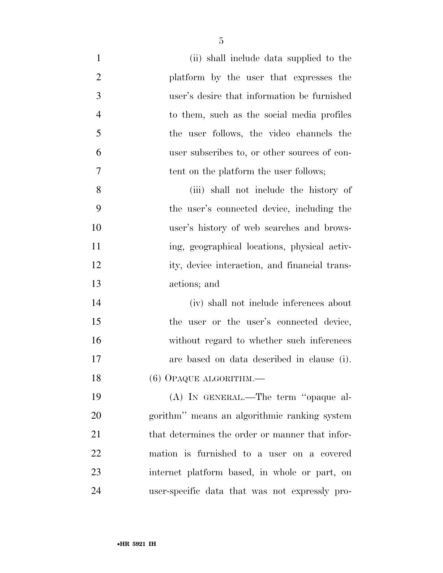| $\mathbf{1}$   | (ii) shall include data supplied to the         |
|----------------|-------------------------------------------------|
| $\overline{2}$ | platform by the user that expresses the         |
| 3              | user's desire that information be furnished     |
| $\overline{4}$ | to them, such as the social media profiles      |
| 5              | the user follows, the video channels the        |
| 6              | user subscribes to, or other sources of con-    |
| 7              | tent on the platform the user follows;          |
| 8              | (iii) shall not include the history of          |
| 9              | the user's connected device, including the      |
| 10             | user's history of web searches and brows-       |
| 11             | ing, geographical locations, physical activ-    |
| 12             | ity, device interaction, and financial trans-   |
| 13             | actions; and                                    |
| 14             | (iv) shall not include inferences about         |
| 15             | the user or the user's connected device,        |
| 16             | without regard to whether such inferences       |
| 17             | are based on data described in clause (i).      |
| 18             | $(6)$ OPAQUE ALGORITHM. $-$                     |
| 19             | (A) IN GENERAL.—The term "opaque al-            |
| 20             | gorithm" means an algorithmic ranking system    |
| 21             | that determines the order or manner that infor- |
| 22             | mation is furnished to a user on a covered      |
| 23             | internet platform based, in whole or part, on   |
| 24             | user-specific data that was not expressly pro-  |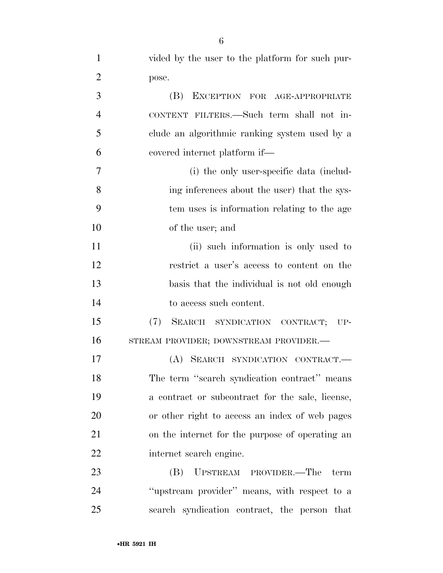| $\mathbf{1}$   | vided by the user to the platform for such pur-  |
|----------------|--------------------------------------------------|
| $\overline{2}$ | pose.                                            |
| 3              | EXCEPTION FOR AGE-APPROPRIATE<br>(B)             |
| $\overline{4}$ | CONTENT FILTERS.—Such term shall not in-         |
| 5              | clude an algorithmic ranking system used by a    |
| 6              | covered internet platform if—                    |
| 7              | (i) the only user-specific data (includ-         |
| 8              | ing inferences about the user) that the sys-     |
| 9              | tem uses is information relating to the age      |
| 10             | of the user; and                                 |
| 11             | (ii) such information is only used to            |
| 12             | restrict a user's access to content on the       |
| 13             | basis that the individual is not old enough      |
| 14             | to access such content.                          |
| 15             | (7)<br>SEARCH SYNDICATION CONTRACT; UP-          |
| 16             | STREAM PROVIDER; DOWNSTREAM PROVIDER.-           |
| 17             | (A) SEARCH SYNDICATION CONTRACT.                 |
| 18             | The term "search syndication contract" means     |
| 19             | a contract or subcontract for the sale, license, |
| 20             | or other right to access an index of web pages   |
| 21             | on the internet for the purpose of operating an  |
| 22             | internet search engine.                          |
| 23             | UPSTREAM PROVIDER.—The term<br>(B)               |
| 24             | "upstream provider" means, with respect to a     |
| 25             | search syndication contract, the person that     |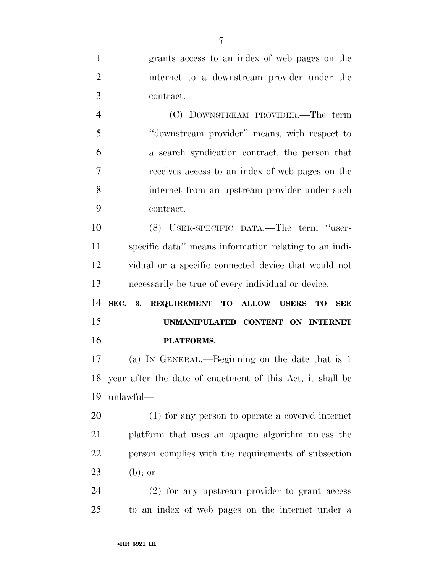grants access to an index of web pages on the internet to a downstream provider under the contract. (C) DOWNSTREAM PROVIDER.—The term ''downstream provider'' means, with respect to a search syndication contract, the person that receives access to an index of web pages on the internet from an upstream provider under such contract. (8) USER-SPECIFIC DATA.—The term ''user- specific data'' means information relating to an indi- vidual or a specific connected device that would not necessarily be true of every individual or device. **SEC. 3. REQUIREMENT TO ALLOW USERS TO SEE UNMANIPULATED CONTENT ON INTERNET PLATFORMS.**  (a) IN GENERAL.—Beginning on the date that is 1 year after the date of enactment of this Act, it shall be unlawful— (1) for any person to operate a covered internet platform that uses an opaque algorithm unless the person complies with the requirements of subsection 23 (b); or (2) for any upstream provider to grant access to an index of web pages on the internet under a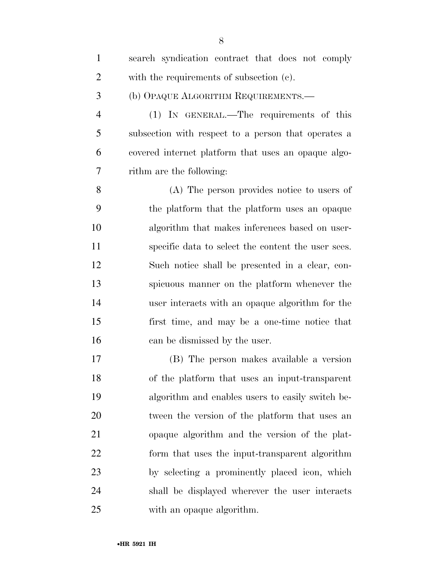| $\mathbf{1}$   | search syndication contract that does not comply    |
|----------------|-----------------------------------------------------|
| $\overline{2}$ | with the requirements of subsection (c).            |
| 3              | (b) OPAQUE ALGORITHM REQUIREMENTS.-                 |
| $\overline{4}$ | (1) IN GENERAL.—The requirements of this            |
| 5              | subsection with respect to a person that operates a |
| 6              | covered internet platform that uses an opaque algo- |
| 7              | rithm are the following:                            |
| 8              | (A) The person provides notice to users of          |
| 9              | the platform that the platform uses an opaque       |
| 10             | algorithm that makes inferences based on user-      |
| 11             | specific data to select the content the user sees.  |
| 12             | Such notice shall be presented in a clear, con-     |
| 13             | spicuous manner on the platform whenever the        |
| 14             | user interacts with an opaque algorithm for the     |
| 15             | first time, and may be a one-time notice that       |
| 16             | can be dismissed by the user.                       |
| 17             | (B) The person makes available a version            |
| 18             | of the platform that uses an input-transparent      |
| 19             | algorithm and enables users to easily switch be-    |
| 20             | tween the version of the platform that uses an      |
| 21             | opaque algorithm and the version of the plat-       |
| 22             | form that uses the input-transparent algorithm      |
| 23             | by selecting a prominently placed icon, which       |
| 24             | shall be displayed wherever the user interacts      |
| 25             | with an opaque algorithm.                           |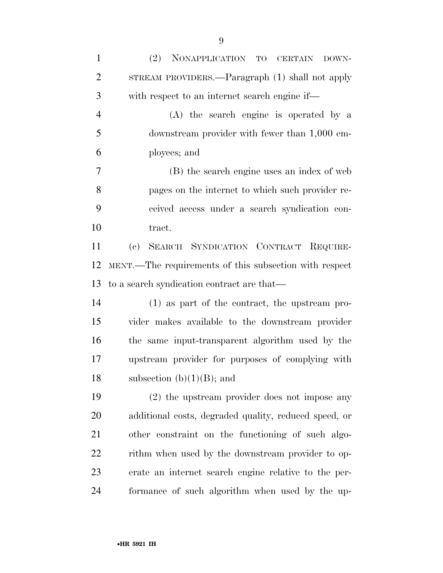| $\mathbf{1}$   | NONAPPLICATION TO CERTAIN<br>(2)<br>DOWN-              |
|----------------|--------------------------------------------------------|
| $\overline{2}$ | STREAM PROVIDERS.—Paragraph (1) shall not apply        |
| 3              | with respect to an internet search engine if—          |
| $\overline{4}$ | (A) the search engine is operated by a                 |
| 5              | downstream provider with fewer than 1,000 em-          |
| 6              | ployees; and                                           |
| 7              | (B) the search engine uses an index of web             |
| 8              | pages on the internet to which such provider re-       |
| 9              | ceived access under a search syndication con-          |
| 10             | tract.                                                 |
| 11             | SEARCH SYNDICATION CONTRACT REQUIRE-<br>(e)            |
| 12             | MENT.—The requirements of this subsection with respect |
| 13             | to a search syndication contract are that—             |
| 14             | (1) as part of the contract, the upstream pro-         |
| 15             | vider makes available to the downstream provider       |
| 16             | the same input-transparent algorithm used by the       |
| 17             | upstream provider for purposes of complying with       |
| 18             | subsection $(b)(1)(B)$ ; and                           |
| 19             | $(2)$ the upstream provider does not impose any        |
| 20             | additional costs, degraded quality, reduced speed, or  |
| 21             | other constraint on the functioning of such algo-      |
| 22             | rithm when used by the downstream provider to op-      |
| 23             | erate an internet search engine relative to the per-   |
| 24             | formance of such algorithm when used by the up-        |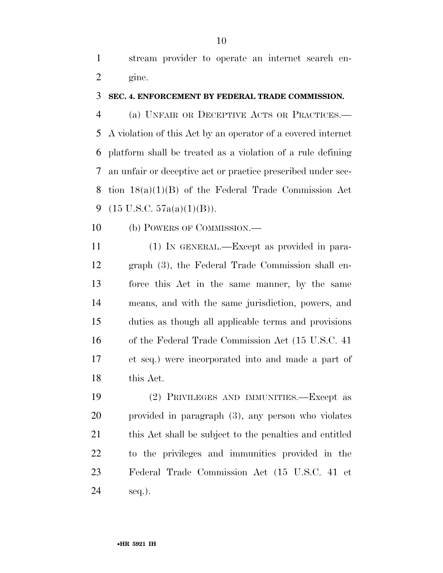stream provider to operate an internet search en-gine.

### **SEC. 4. ENFORCEMENT BY FEDERAL TRADE COMMISSION.**

 (a) UNFAIR OR DECEPTIVE ACTS OR PRACTICES.— A violation of this Act by an operator of a covered internet platform shall be treated as a violation of a rule defining an unfair or deceptive act or practice prescribed under sec- tion 18(a)(1)(B) of the Federal Trade Commission Act  $(15 \text{ U.S.C. } 57a(a)(1)(B)).$ 

(b) POWERS OF COMMISSION.—

 (1) IN GENERAL.—Except as provided in para- graph (3), the Federal Trade Commission shall en- force this Act in the same manner, by the same means, and with the same jurisdiction, powers, and duties as though all applicable terms and provisions of the Federal Trade Commission Act (15 U.S.C. 41 et seq.) were incorporated into and made a part of this Act.

 (2) PRIVILEGES AND IMMUNITIES.—Except as provided in paragraph (3), any person who violates 21 this Act shall be subject to the penalties and entitled to the privileges and immunities provided in the Federal Trade Commission Act (15 U.S.C. 41 et seq.).